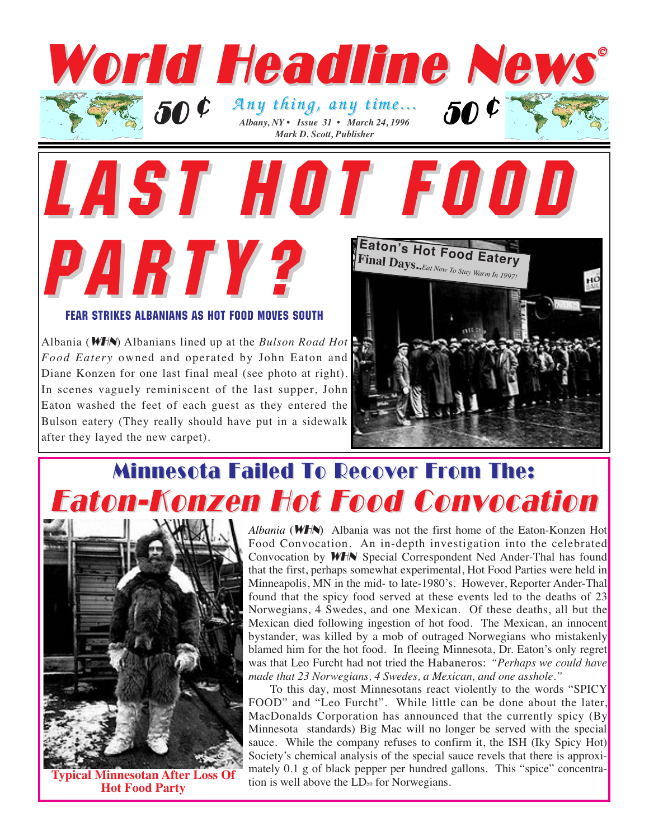

FEAR STRIKES ALBANIANS AS HOT FOOD MOVES SOUTH

PARTY?

LAST HOT F

Albania (WHN) Albanians lined up at the *Bulson Road Hot Food Eatery* owned and operated by John Eaton and Diane Konzen for one last final meal (see photo at right). In scenes vaguely reminiscent of the last supper, John Eaton washed the feet of each guest as they entered the Bulson eatery (They really should have put in a sidewalk after they layed the new carpet).



## **Minnesota Failed To Recover From The:** Eaton-Konzen Hot Food Convocation Eaton-Konzen Hot Food Convocation



**Typical Minnesotan After Loss Hot Food Party**

*Albania* **(**WHN**)** Albania was not the first home of the Eaton-Konzen Hot Food Convocation. An in-depth investigation into the celebrated Convocation by WHN Special Correspondent Ned Ander-Thal has found that the first, perhaps somewhat experimental, Hot Food Parties were held in Minneapolis, MN in the mid- to late-1980's. However, Reporter Ander-Thal found that the spicy food served at these events led to the deaths of 23 Norwegians, 4 Swedes, and one Mexican. Of these deaths, all but the Mexican died following ingestion of hot food. The Mexican, an innocent bystander, was killed by a mob of outraged Norwegians who mistakenly blamed him for the hot food. In fleeing Minnesota, Dr. Eaton's only regret was that Leo Furcht had not tried the Habaneros: *"Perhaps we could have made that 23 Norwegians, 4 Swedes, a Mexican, and one asshole."*

To this day, most Minnesotans react violently to the words "SPICY FOOD" and "Leo Furcht". While little can be done about the later, MacDonalds Corporation has announced that the currently spicy (By Minnesota standards) Big Mac will no longer be served with the special sauce. While the company refuses to confirm it, the ISH (Iky Spicy Hot) Society's chemical analysis of the special sauce revels that there is approximately 0.1 g of black pepper per hundred gallons. This "spice" concentration is well above the LD<sub>50</sub> for Norwegians.